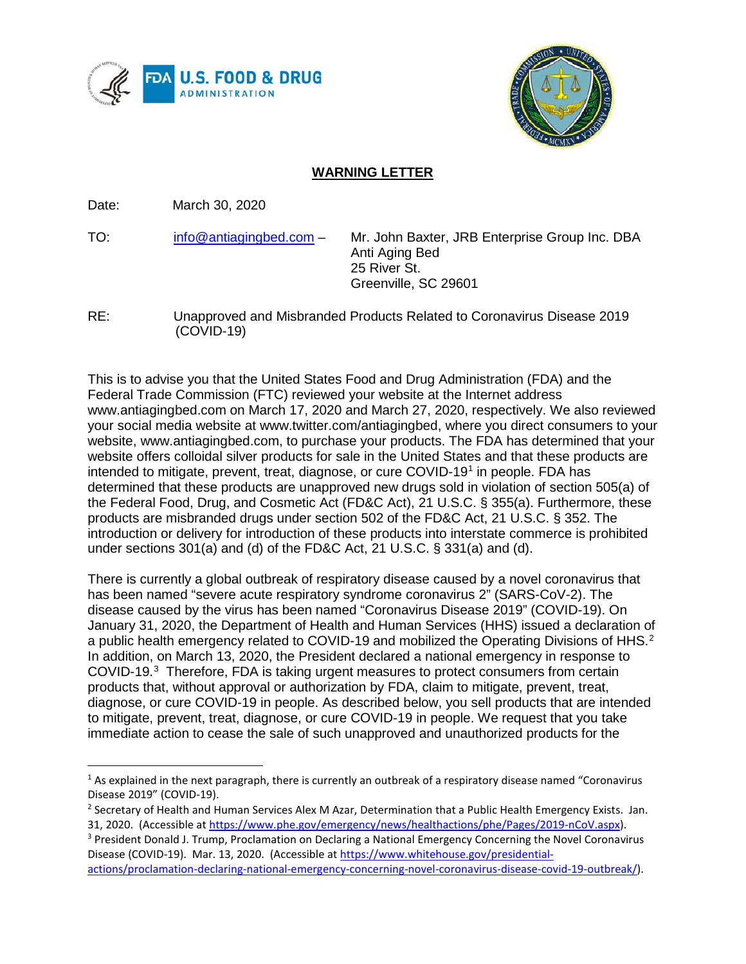



## **WARNING LETTER**

Date: March 30, 2020

TO: [info@antiagingbed.com](mailto:info@antiagingbed.com) – Mr. John Baxter, JRB Enterprise Group Inc. DBA Anti Aging Bed 25 River St. Greenville, SC 29601

RE: Unapproved and Misbranded Products Related to Coronavirus Disease 2019 (COVID-19)

This is to advise you that the United States Food and Drug Administration (FDA) and the Federal Trade Commission (FTC) reviewed your website at the Internet address www.antiagingbed.com on March 17, 2020 and March 27, 2020, respectively. We also reviewed your social media website at www.twitter.com/antiagingbed, where you direct consumers to your website, www.antiagingbed.com, to purchase your products. The FDA has determined that your website offers colloidal silver products for sale in the United States and that these products are intended to mitigate, prevent, treat, diagnose, or cure COVID-19<sup>1</sup> in people. FDA has determined that these products are unapproved new drugs sold in violation of section 505(a) of the Federal Food, Drug, and Cosmetic Act (FD&C Act), 21 U.S.C. § 355(a). Furthermore, these products are misbranded drugs under section 502 of the FD&C Act, 21 U.S.C. § 352. The introduction or delivery for introduction of these products into interstate commerce is prohibited under sections 301(a) and (d) of the FD&C Act, 21 U.S.C. § 331(a) and (d).

There is currently a global outbreak of respiratory disease caused by a novel coronavirus that has been named "severe acute respiratory syndrome coronavirus 2" (SARS-CoV-2). The disease caused by the virus has been named "Coronavirus Disease 2019" (COVID-19). On January 31, 2020, the Department of Health and Human Services (HHS) issued a declaration of a public health emergency related to COVID-19 and mobilized the Operating Divisions of HHS.<sup>[2](#page-0-1)</sup> In addition, on March 13, 2020, the President declared a national emergency in response to COVID-19.<sup>[3](#page-0-2)</sup> Therefore, FDA is taking urgent measures to protect consumers from certain products that, without approval or authorization by FDA, claim to mitigate, prevent, treat, diagnose, or cure COVID-19 in people. As described below, you sell products that are intended to mitigate, prevent, treat, diagnose, or cure COVID-19 in people. We request that you take immediate action to cease the sale of such unapproved and unauthorized products for the

<span id="page-0-0"></span> $1$  As explained in the next paragraph, there is currently an outbreak of a respiratory disease named "Coronavirus Disease 2019" (COVID-19).

<span id="page-0-1"></span><sup>&</sup>lt;sup>2</sup> Secretary of Health and Human Services Alex M Azar, Determination that a Public Health Emergency Exists. Jan. 31, 2020. (Accessible at [https://www.phe.gov/emergency/news/healthactions/phe/Pages/2019-nCoV.aspx\)](https://www.phe.gov/emergency/news/healthactions/phe/Pages/2019-nCoV.aspx).

<span id="page-0-2"></span><sup>&</sup>lt;sup>3</sup> President Donald J. Trump, Proclamation on Declaring a National Emergency Concerning the Novel Coronavirus Disease (COVID-19). Mar. 13, 2020. (Accessible at [https://www.whitehouse.gov/presidential](https://www.whitehouse.gov/presidential-actions/proclamation-declaring-national-emergency-concerning-novel-coronavirus-disease-covid-19-outbreak/)[actions/proclamation-declaring-national-emergency-concerning-novel-coronavirus-disease-covid-19-outbreak/\)](https://www.whitehouse.gov/presidential-actions/proclamation-declaring-national-emergency-concerning-novel-coronavirus-disease-covid-19-outbreak/).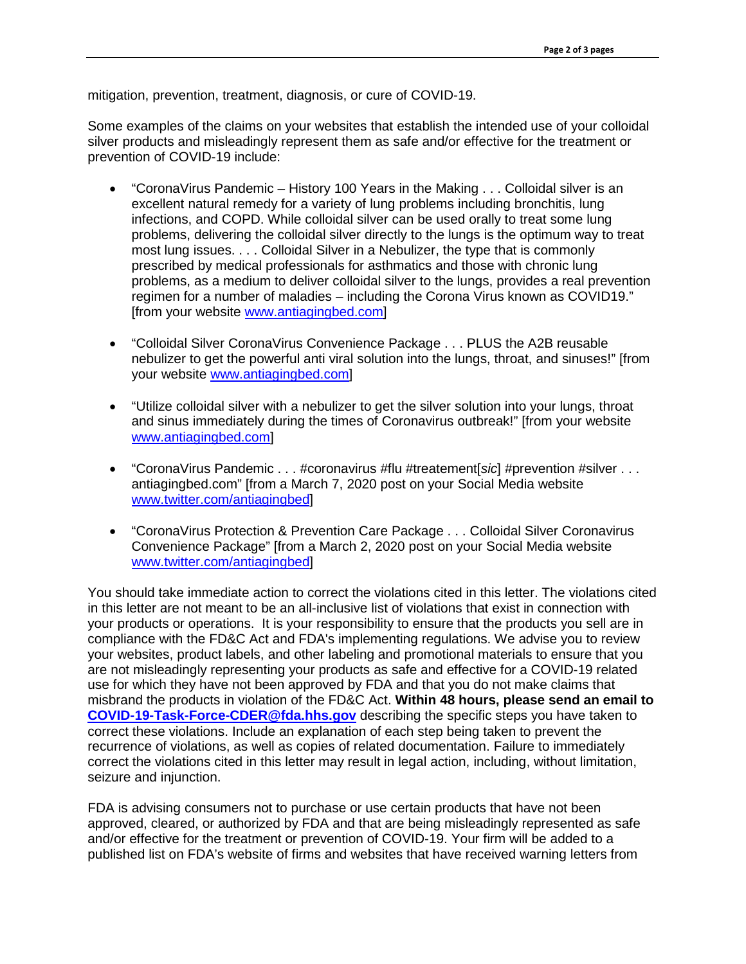mitigation, prevention, treatment, diagnosis, or cure of COVID-19.

Some examples of the claims on your websites that establish the intended use of your colloidal silver products and misleadingly represent them as safe and/or effective for the treatment or prevention of COVID-19 include:

- "CoronaVirus Pandemic History 100 Years in the Making . . . Colloidal silver is an excellent natural remedy for a variety of lung problems including bronchitis, lung infections, and COPD. While colloidal silver can be used orally to treat some lung problems, delivering the colloidal silver directly to the lungs is the optimum way to treat most lung issues. . . . Colloidal Silver in a Nebulizer, the type that is commonly prescribed by medical professionals for asthmatics and those with chronic lung problems, as a medium to deliver colloidal silver to the lungs, provides a real prevention regimen for a number of maladies – including the Corona Virus known as COVID19." [from your website [www.antiagingbed.com\]](http://www.antiagingbed.com/)
- "Colloidal Silver CoronaVirus Convenience Package . . . PLUS the A2B reusable nebulizer to get the powerful anti viral solution into the lungs, throat, and sinuses!" [from your website [www.antiagingbed.com\]](http://www.antiagingbed.com/)
- "Utilize colloidal silver with a nebulizer to get the silver solution into your lungs, throat and sinus immediately during the times of Coronavirus outbreak!" [from your website [www.antiagingbed.com\]](http://www.antiagingbed.com/)
- "CoronaVirus Pandemic . . . #coronavirus #flu #treatement[*sic*] #prevention #silver . . . antiagingbed.com" [from a March 7, 2020 post on your Social Media website [www.twitter.com/antiagingbed\]](http://www.twitter.com/antiagingbed)
- "CoronaVirus Protection & Prevention Care Package . . . Colloidal Silver Coronavirus Convenience Package" [from a March 2, 2020 post on your Social Media website [www.twitter.com/antiagingbed\]](http://www.twitter.com/antiagingbed)

You should take immediate action to correct the violations cited in this letter. The violations cited in this letter are not meant to be an all-inclusive list of violations that exist in connection with your products or operations. It is your responsibility to ensure that the products you sell are in compliance with the FD&C Act and FDA's implementing regulations. We advise you to review your websites, product labels, and other labeling and promotional materials to ensure that you are not misleadingly representing your products as safe and effective for a COVID-19 related use for which they have not been approved by FDA and that you do not make claims that misbrand the products in violation of the FD&C Act. **Within 48 hours, please send an email to [COVID-19-Task-Force-CDER@fda.hhs.gov](mailto:COVID-19-Task-Force-CDER@fda.hhs.gov)** describing the specific steps you have taken to correct these violations. Include an explanation of each step being taken to prevent the recurrence of violations, as well as copies of related documentation. Failure to immediately correct the violations cited in this letter may result in legal action, including, without limitation, seizure and injunction.

FDA is advising consumers not to purchase or use certain products that have not been approved, cleared, or authorized by FDA and that are being misleadingly represented as safe and/or effective for the treatment or prevention of COVID-19. Your firm will be added to a published list on FDA's website of firms and websites that have received warning letters from